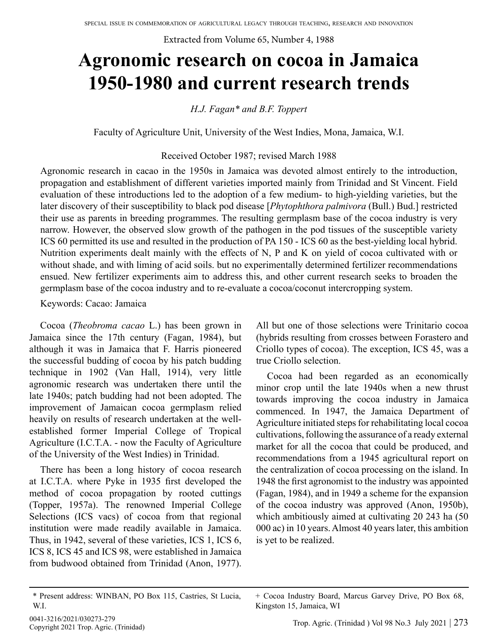Extracted from Volume 65, Number 4, 1988

# **Agronomic research on cocoa in Jamaica 1950-1980 and current research trends**

*H.J. Fagan\* and B.F. Toppert*

Faculty of Agriculture Unit, University of the West Indies, Mona, Jamaica, W.I.

#### Received October 1987; revised March 1988

Agronomic research in cacao in the 1950s in Jamaica was devoted almost entirely to the introduction, propagation and establishment of different varieties imported mainly from Trinidad and St Vincent. Field evaluation of these introductions led to the adoption of a few medium- to high-yielding varieties, but the later discovery of their susceptibility to black pod disease [*Phytophthora palmivora* (Bull.) Bud.] restricted their use as parents in breeding programmes. The resulting germplasm base of the cocoa industry is very narrow. However, the observed slow growth of the pathogen in the pod tissues of the susceptible variety ICS 60 permitted its use and resulted in the production of PA 150 - ICS 60 as the best-yielding local hybrid. Nutrition experiments dealt mainly with the effects of N, P and K on yield of cocoa cultivated with or without shade, and with liming of acid soils. but no experimentally determined fertilizer recommendations ensued. New fertilizer experiments aim to address this, and other current research seeks to broaden the germplasm base of the cocoa industry and to re-evaluate a cocoa/coconut intercropping system.

Keywords: Cacao: Jamaica

Cocoa (*Theobroma cacao* L.) has been grown in Jamaica since the 17th century (Fagan, 1984), but although it was in Jamaica that F. Harris pioneered the successful budding of cocoa by his patch budding technique in 1902 (Van Hall, 1914), very little agronomic research was undertaken there until the late 1940s; patch budding had not been adopted. The improvement of Jamaican cocoa germplasm relied heavily on results of research undertaken at the wellestablished former Imperial College of Tropical Agriculture (I.C.T.A. - now the Faculty of Agriculture of the University of the West Indies) in Trinidad.

There has been a long history of cocoa research at I.C.T.A. where Pyke in 1935 first developed the method of cocoa propagation by rooted cuttings (Topper, 1957a). The renowned Imperial College Selections (ICS vacs) of cocoa from that regional institution were made readily available in Jamaica. Thus, in 1942, several of these varieties, ICS 1, ICS 6, ICS 8, ICS 45 and ICS 98, were established in Jamaica from budwood obtained from Trinidad (Anon, 1977).

\* Present address: WINBAN, PO Box 115, Castries, St Lucia, W.I.

All but one of those selections were Trinitario cocoa (hybrids resulting from crosses between Forastero and Criollo types of cocoa). The exception, ICS 45, was a true Criollo selection.

Cocoa had been regarded as an economically minor crop until the late 1940s when a new thrust towards improving the cocoa industry in Jamaica commenced. In 1947, the Jamaica Department of Agriculture initiated steps for rehabilitating local cocoa cultivations, following the assurance of a ready external market for all the cocoa that could be produced, and recommendations from a 1945 agricultural report on the centralization of cocoa processing on the island. In 1948 the first agronomist to the industry was appointed (Fagan, 1984), and in 1949 a scheme for the expansion of the cocoa industry was approved (Anon, 1950b), which ambitiously aimed at cultivating 20 243 ha (50 000 ac) in 10 years. Almost 40 years later, this ambition is yet to be realized.

+ Cocoa Industry Board, Marcus Garvey Drive, PO Box 68, Kingston 15, Jamaica, WI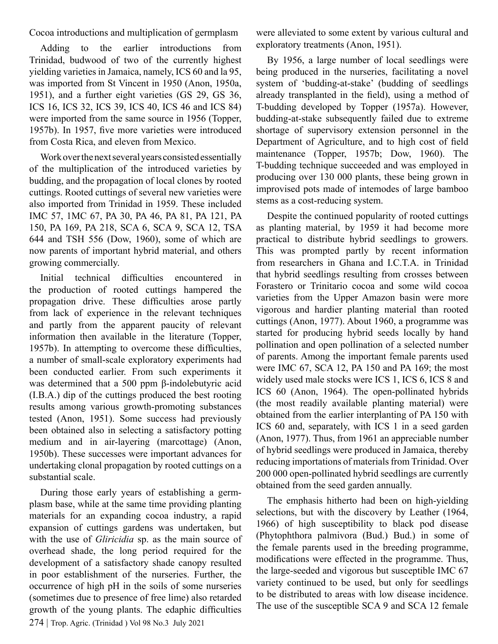Cocoa introductions and multiplication of germplasm

Adding to the earlier introductions from Trinidad, budwood of two of the currently highest yielding varieties in Jamaica, namely, ICS 60 and la 95, was imported from St Vincent in 1950 (Anon, 1950a, 1951), and a further eight varieties (GS 29, GS 36, ICS 16, ICS 32, ICS 39, ICS 40, ICS 46 and ICS 84) were imported from the same source in 1956 (Topper, 1957b). In 1957, five more varieties were introduced from Costa Rica, and eleven from Mexico.

Work over the next several years consisted essentially of the multiplication of the introduced varieties by budding, and the propagation of local clones by rooted cuttings. Rooted cuttings of several new varieties were also imported from Trinidad in 1959. These included IMC 57, 1MC 67, PA 30, PA 46, PA 81, PA 121, PA 150, PA 169, PA 218, SCA 6, SCA 9, SCA 12, TSA 644 and TSH 556 (Dow, 1960), some of which are now parents of important hybrid material, and others growing commercially.

Initial technical difficulties encountered in the production of rooted cuttings hampered the propagation drive. These difficulties arose partly from lack of experience in the relevant techniques and partly from the apparent paucity of relevant information then available in the literature (Topper, 1957b). In attempting to overcome these difficulties, a number of small-scale exploratory experiments had been conducted earlier. From such experiments it was determined that a 500 ppm β-indolebutyric acid (I.B.A.) dip of the cuttings produced the best rooting results among various growth-promoting substances tested (Anon, 1951). Some success had previously been obtained also in selecting a satisfactory potting medium and in air-layering (marcottage) (Anon, 1950b). These successes were important advances for undertaking clonal propagation by rooted cuttings on a substantial scale.

274 | Trop. Agric. (Trinidad ) Vol 98 No.3 July 2021 During those early years of establishing a germplasm base, while at the same time providing planting materials for an expanding cocoa industry, a rapid expansion of cuttings gardens was undertaken, but with the use of *Gliricidia* sp. as the main source of overhead shade, the long period required for the development of a satisfactory shade canopy resulted in poor establishment of the nurseries. Further, the occurrence of high pH in the soils of some nurseries (sometimes due to presence of free lime) also retarded growth of the young plants. The edaphic difficulties

were alleviated to some extent by various cultural and exploratory treatments (Anon, 1951).

By 1956, a large number of local seedlings were being produced in the nurseries, facilitating a novel system of 'budding-at-stake' (budding of seedlings already transplanted in the field), using a method of T-budding developed by Topper (1957a). However, budding-at-stake subsequently failed due to extreme shortage of supervisory extension personnel in the Department of Agriculture, and to high cost of field maintenance (Topper, 1957b; Dow, 1960). The T-budding technique succeeded and was employed in producing over 130 000 plants, these being grown in improvised pots made of intemodes of large bamboo stems as a cost-reducing system.

Despite the continued popularity of rooted cuttings as planting material, by 1959 it had become more practical to distribute hybrid seedlings to growers. This was prompted partly by recent information from researchers in Ghana and I.C.T.A. in Trinidad that hybrid seedlings resulting from crosses between Forastero or Trinitario cocoa and some wild cocoa varieties from the Upper Amazon basin were more vigorous and hardier planting material than rooted cuttings (Anon, 1977). About 1960, a programme was started for producing hybrid seeds locally by hand pollination and open pollination of a selected number of parents. Among the important female parents used were IMC 67, SCA 12, PA 150 and PA 169; the most widely used male stocks were ICS 1, ICS 6, ICS 8 and ICS 60 (Anon, 1964). The open-pollinated hybrids (the most readily available planting material) were obtained from the earlier interplanting of PA 150 with ICS 60 and, separately, with ICS 1 in a seed garden (Anon, 1977). Thus, from 1961 an appreciable number of hybrid seedlings were produced in Jamaica, thereby reducing importations of materials from Trinidad. Over 200 000 open-pollinated hybrid seedlings are currently obtained from the seed garden annually.

The emphasis hitherto had been on high-yielding selections, but with the discovery by Leather (1964, 1966) of high susceptibility to black pod disease (Phytophthora palmivora (Bud.) Bud.) in some of the female parents used in the breeding programme, modifications were effected in the programme. Thus, the large-seeded and vigorous but susceptible IMC 67 variety continued to be used, but only for seedlings to be distributed to areas with low disease incidence. The use of the susceptible SCA 9 and SCA 12 female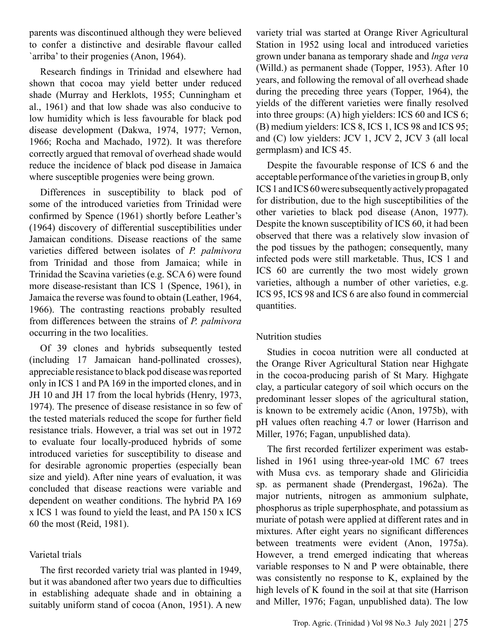parents was discontinued although they were believed to confer a distinctive and desirable flavour called `arriba' to their progenies (Anon, 1964).

Research findings in Trinidad and elsewhere had shown that cocoa may yield better under reduced shade (Murray and Herklots, 1955; Cunningham et al., 1961) and that low shade was also conducive to low humidity which is less favourable for black pod disease development (Dakwa, 1974, 1977; Vernon, 1966; Rocha and Machado, 1972). It was therefore correctly argued that removal of overhead shade would reduce the incidence of black pod disease in Jamaica where susceptible progenies were being grown.

Differences in susceptibility to black pod of some of the introduced varieties from Trinidad were confirmed by Spence (1961) shortly before Leather's (1964) discovery of differential susceptibilities under Jamaican conditions. Disease reactions of the same varieties differed between isolates of *P. palmivora*  from Trinidad and those from Jamaica; while in Trinidad the Scavina varieties (e.g. SCA 6) were found more disease-resistant than ICS 1 (Spence, 1961), in Jamaica the reverse was found to obtain (Leather, 1964, 1966). The contrasting reactions probably resulted from differences between the strains of *P. palmivora*  occurring in the two localities.

Of 39 clones and hybrids subsequently tested (including 17 Jamaican hand-pollinated crosses), appreciable resistance to black pod disease was reported only in ICS 1 and PA 169 in the imported clones, and in JH 10 and JH 17 from the local hybrids (Henry, 1973, 1974). The presence of disease resistance in so few of the tested materials reduced the scope for further field resistance trials. However, a trial was set out in 1972 to evaluate four locally-produced hybrids of some introduced varieties for susceptibility to disease and for desirable agronomic properties (especially bean size and yield). After nine years of evaluation, it was concluded that disease reactions were variable and dependent on weather conditions. The hybrid PA 169 x ICS 1 was found to yield the least, and PA 150 x ICS 60 the most (Reid, 1981).

# Varietal trials

The first recorded variety trial was planted in 1949, but it was abandoned after two years due to difficulties in establishing adequate shade and in obtaining a suitably uniform stand of cocoa (Anon, 1951). A new variety trial was started at Orange River Agricultural Station in 1952 using local and introduced varieties grown under banana as temporary shade and *lnga vera* (Willd.) as permanent shade (Topper, 1953). After 10 years, and following the removal of all overhead shade during the preceding three years (Topper, 1964), the yields of the different varieties were finally resolved into three groups: (A) high yielders: ICS 60 and ICS 6; (B) medium yielders: ICS 8, ICS 1, ICS 98 and ICS 95; and (C) low yielders: JCV 1, JCV 2, JCV 3 (all local germplasm) and ICS 45.

Despite the favourable response of ICS 6 and the acceptable performance of the varieties in group B, only ICS 1 and ICS 60 were subsequently actively propagated for distribution, due to the high susceptibilities of the other varieties to black pod disease (Anon, 1977). Despite the known susceptibility of ICS 60, it had been observed that there was a relatively slow invasion of the pod tissues by the pathogen; consequently, many infected pods were still marketable. Thus, ICS 1 and ICS 60 are currently the two most widely grown varieties, although a number of other varieties, e.g. ICS 95, ICS 98 and ICS 6 are also found in commercial quantities.

# Nutrition studies

Studies in cocoa nutrition were all conducted at the Orange River Agricultural Station near Highgate in the cocoa-producing parish of St Mary. Highgate clay, a particular category of soil which occurs on the predominant lesser slopes of the agricultural station, is known to be extremely acidic (Anon, 1975b), with pH values often reaching 4.7 or lower (Harrison and Miller, 1976; Fagan, unpublished data).

The first recorded fertilizer experiment was established in 1961 using three-year-old 1MC 67 trees with Musa cvs. as temporary shade and Gliricidia sp. as permanent shade (Prendergast, 1962a). The major nutrients, nitrogen as ammonium sulphate, phosphorus as triple superphosphate, and potassium as muriate of potash were applied at different rates and in mixtures. After eight years no significant differences between treatments were evident (Anon, 1975a). However, a trend emerged indicating that whereas variable responses to N and P were obtainable, there was consistently no response to K, explained by the high levels of K found in the soil at that site (Harrison and Miller, 1976; Fagan, unpublished data). The low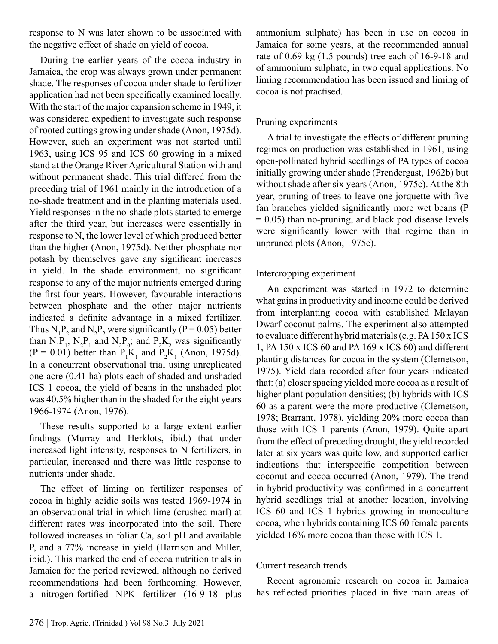response to N was later shown to be associated with the negative effect of shade on yield of cocoa.

During the earlier years of the cocoa industry in Jamaica, the crop was always grown under permanent shade. The responses of cocoa under shade to fertilizer application had not been specifically examined locally. With the start of the major expansion scheme in 1949, it was considered expedient to investigate such response of rooted cuttings growing under shade (Anon, 1975d). However, such an experiment was not started until 1963, using ICS 95 and ICS 60 growing in a mixed stand at the Orange River Agricultural Station with and without permanent shade. This trial differed from the preceding trial of 1961 mainly in the introduction of a no-shade treatment and in the planting materials used. Yield responses in the no-shade plots started to emerge after the third year, but increases were essentially in response to N, the lower level of which produced better than the higher (Anon, 1975d). Neither phosphate nor potash by themselves gave any significant increases in yield. In the shade environment, no significant response to any of the major nutrients emerged during the first four years. However, favourable interactions between phosphate and the other major nutrients indicated a definite advantage in a mixed fertilizer. Thus  $N_1P_2$  and  $N_2P_2$  were significantly (P = 0.05) better than  $N_1P_1$ ,  $N_2P_1$  and  $N_2P_0$ ; and  $P_2K_2$  was significantly  $(P = 0.01)$  better than  $P_1K_1$  and  $P_2K_1$  (Anon, 1975d). In a concurrent observational trial using unreplicated one-acre (0.41 ha) plots each of shaded and unshaded ICS 1 cocoa, the yield of beans in the unshaded plot was 40.5% higher than in the shaded for the eight years 1966-1974 (Anon, 1976).

These results supported to a large extent earlier findings (Murray and Herklots, ibid.) that under increased light intensity, responses to N fertilizers, in particular, increased and there was little response to nutrients under shade.

The effect of liming on fertilizer responses of cocoa in highly acidic soils was tested 1969-1974 in an observational trial in which lime (crushed marl) at different rates was incorporated into the soil. There followed increases in foliar Ca, soil pH and available P, and a 77% increase in yield (Harrison and Miller, ibid.). This marked the end of cocoa nutrition trials in Jamaica for the period reviewed, although no derived recommendations had been forthcoming. However, a nitrogen-fortified NPK fertilizer (16-9-18 plus

ammonium sulphate) has been in use on cocoa in Jamaica for some years, at the recommended annual rate of 0.69 kg (1.5 pounds) tree each of 16-9-18 and of ammonium sulphate, in two equal applications. No liming recommendation has been issued and liming of cocoa is not practised.

# Pruning experiments

A trial to investigate the effects of different pruning regimes on production was established in 1961, using open-pollinated hybrid seedlings of PA types of cocoa initially growing under shade (Prendergast, 1962b) but without shade after six years (Anon, 1975c). At the 8th year, pruning of trees to leave one jorquette with five fan branches yielded significantly more wet beans (P  $= 0.05$ ) than no-pruning, and black pod disease levels were significantly lower with that regime than in unpruned plots (Anon, 1975c).

# Intercropping experiment

An experiment was started in 1972 to determine what gains in productivity and income could be derived from interplanting cocoa with established Malayan Dwarf coconut palms. The experiment also attempted to evaluate different hybrid materials (e.g. PA 150 x ICS 1, PA 150 x ICS 60 and PA 169 x ICS 60) and different planting distances for cocoa in the system (Clemetson, 1975). Yield data recorded after four years indicated that: (a) closer spacing yielded more cocoa as a result of higher plant population densities; (b) hybrids with ICS 60 as a parent were the more productive (Clemetson, 1978; Btarrant, 1978), yielding 20% more cocoa than those with ICS 1 parents (Anon, 1979). Quite apart from the effect of preceding drought, the yield recorded later at six years was quite low, and supported earlier indications that interspecific competition between coconut and cocoa occurred (Anon, 1979). The trend in hybrid productivity was confirmed in a concurrent hybrid seedlings trial at another location, involving ICS 60 and ICS 1 hybrids growing in monoculture cocoa, when hybrids containing ICS 60 female parents yielded 16% more cocoa than those with ICS 1.

#### Current research trends

Recent agronomic research on cocoa in Jamaica has reflected priorities placed in five main areas of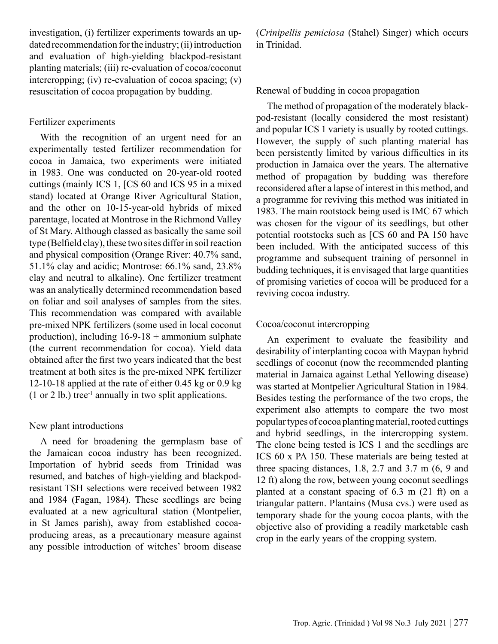investigation, (i) fertilizer experiments towards an updated recommendation for the industry; (ii) introduction and evaluation of high-yielding blackpod-resistant planting materials; (iii) re-evaluation of cocoa/coconut intercropping; (iv) re-evaluation of cocoa spacing; (v) resuscitation of cocoa propagation by budding.

#### Fertilizer experiments

With the recognition of an urgent need for an experimentally tested fertilizer recommendation for cocoa in Jamaica, two experiments were initiated in 1983. One was conducted on 20-year-old rooted cuttings (mainly ICS 1, [CS 60 and ICS 95 in a mixed stand) located at Orange River Agricultural Station, and the other on 10-15-year-old hybrids of mixed parentage, located at Montrose in the Richmond Valley of St Mary. Although classed as basically the same soil type (Belfield clay), these two sites differ in soil reaction and physical composition (Orange River: 40.7% sand, 51.1% clay and acidic; Montrose: 66.1% sand, 23.8% clay and neutral to alkaline). One fertilizer treatment was an analytically determined recommendation based on foliar and soil analyses of samples from the sites. This recommendation was compared with available pre-mixed NPK fertilizers (some used in local coconut production), including  $16-9-18 +$  ammonium sulphate (the current recommendation for cocoa). Yield data obtained after the first two years indicated that the best treatment at both sites is the pre-mixed NPK fertilizer 12-10-18 applied at the rate of either 0.45 kg or 0.9 kg  $(1$  or 2 lb.) tree<sup>-1</sup> annually in two split applications.

#### New plant introductions

A need for broadening the germplasm base of the Jamaican cocoa industry has been recognized. Importation of hybrid seeds from Trinidad was resumed, and batches of high-yielding and blackpodresistant TSH selections were received between 1982 and 1984 (Fagan, 1984). These seedlings are being evaluated at a new agricultural station (Montpelier, in St James parish), away from established cocoaproducing areas, as a precautionary measure against any possible introduction of witches' broom disease

(*Crinipellis pemiciosa* (Stahel) Singer) which occurs in Trinidad.

#### Renewal of budding in cocoa propagation

The method of propagation of the moderately blackpod-resistant (locally considered the most resistant) and popular ICS 1 variety is usually by rooted cuttings. However, the supply of such planting material has been persistently limited by various difficulties in its production in Jamaica over the years. The alternative method of propagation by budding was therefore reconsidered after a lapse of interest in this method, and a programme for reviving this method was initiated in 1983. The main rootstock being used is IMC 67 which was chosen for the vigour of its seedlings, but other potential rootstocks such as [CS 60 and PA 150 have been included. With the anticipated success of this programme and subsequent training of personnel in budding techniques, it is envisaged that large quantities of promising varieties of cocoa will be produced for a reviving cocoa industry.

### Cocoa/coconut intercropping

An experiment to evaluate the feasibility and desirability of interplanting cocoa with Maypan hybrid seedlings of coconut (now the recommended planting material in Jamaica against Lethal Yellowing disease) was started at Montpelier Agricultural Station in 1984. Besides testing the performance of the two crops, the experiment also attempts to compare the two most popular types of cocoa planting material, rooted cuttings and hybrid seedlings, in the intercropping system. The clone being tested is ICS 1 and the seedlings are ICS 60 x PA 150. These materials are being tested at three spacing distances, 1.8, 2.7 and 3.7 m (6, 9 and 12 ft) along the row, between young coconut seedlings planted at a constant spacing of 6.3 m (21 ft) on a triangular pattern. Plantains (Musa cvs.) were used as temporary shade for the young cocoa plants, with the objective also of providing a readily marketable cash crop in the early years of the cropping system.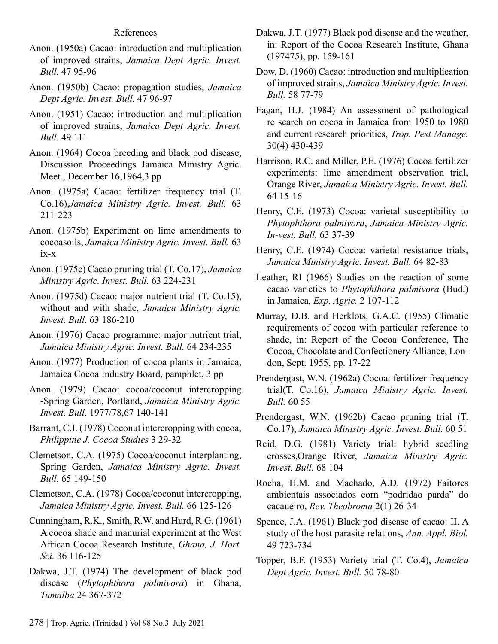- Anon. (1950a) Cacao: introduction and multiplication of improved strains, *Jamaica Dept Agric. Invest. Bull.* 47 95-96
- Anon. (1950b) Cacao: propagation studies, *Jamaica Dept Agric. Invest. Bull.* 47 96-97
- Anon. (1951) Cacao: introduction and multiplication of improved strains, *Jamaica Dept Agric. Invest. Bull.* 49 111
- Anon. (1964) Cocoa breeding and black pod disease, Discussion Proceedings Jamaica Ministry Agric. Meet., December 16,1964,3 pp
- Anon. (1975a) Cacao: fertilizer frequency trial (T. Co.16),*Jamaica Ministry Agric. Invest. Bull.* 63 211-223
- Anon. (1975b) Experiment on lime amendments to cocoasoils, *Jamaica Ministry Agric. Invest. Bull.* 63 ix-x
- Anon. (1975c) Cacao pruning trial (T. Co.17), *Jamaica Ministry Agric. Invest. Bull.* 63 224-231
- Anon. (1975d) Cacao: major nutrient trial (T. Co.15), without and with shade, *Jamaica Ministry Agric. Invest. Bull.* 63 186-210
- Anon. (1976) Cacao programme: major nutrient trial, *Jamaica Ministry Agric. Invest. Bull.* 64 234-235
- Anon. (1977) Production of cocoa plants in Jamaica, Jamaica Cocoa Industry Board, pamphlet, 3 pp
- Anon. (1979) Cacao: cocoa/coconut intercropping -Spring Garden, Portland, *Jamaica Ministry Agric. Invest. Bull.* 1977/78,67 140-141
- Barrant, C.I. (1978) Coconut intercropping with cocoa, *Philippine J. Cocoa Studies* 3 29-32
- Clemetson, C.A. (1975) Cocoa/coconut interplanting, Spring Garden, *Jamaica Ministry Agric. Invest. Bull.* 65 149-150
- Clemetson, C.A. (1978) Cocoa/coconut intercropping, *Jamaica Ministry Agric. Invest. Bull.* 66 125-126
- Cunningham, R.K., Smith, R.W. and Hurd, R.G. (1961) A cocoa shade and manurial experiment at the West African Cocoa Research Institute, *Ghana, J. Hort. Sci.* 36 116-125
- Dakwa, J.T. (1974) The development of black pod disease (*Phytophthora palmivora*) in Ghana, *Tumalba* 24 367-372
- Dakwa, J.T. (1977) Black pod disease and the weather, in: Report of the Cocoa Research Institute, Ghana (197475), pp. 159-161
- Dow, D. (1960) Cacao: introduction and multiplication of improved strains, *Jamaica Ministry Agric. Invest. Bull.* 58 77-79
- Fagan, H.J. (1984) An assessment of pathological re search on cocoa in Jamaica from 1950 to 1980 and current research priorities, *Trop. Pest Manage.* 30(4) 430-439
- Harrison, R.C. and Miller, P.E. (1976) Cocoa fertilizer experiments: lime amendment observation trial, Orange River, *Jamaica Ministry Agric. Invest. Bull.*  64 15-16
- Henry, C.E. (1973) Cocoa: varietal susceptibility to *Phytophthora palmivora*, *Jamaica Ministry Agric. In-vest. Bull.* 63 37-39
- Henry, C.E. (1974) Cocoa: varietal resistance trials, *Jamaica Ministry Agric. Invest. Bull.* 64 82-83
- Leather, RI (1966) Studies on the reaction of some cacao varieties to *Phytophthora palmivora* (Bud.) in Jamaica, *Exp. Agric.* 2 107-112
- Murray, D.B. and Herklots, G.A.C. (1955) Climatic requirements of cocoa with particular reference to shade, in: Report of the Cocoa Conference, The Cocoa, Chocolate and Confectionery Alliance, London, Sept. 1955, pp. 17-22
- Prendergast, W.N. (1962a) Cocoa: fertilizer frequency trial(T. Co.16), *Jamaica Ministry Agric. Invest. Bull.* 60 55
- Prendergast, W.N. (1962b) Cacao pruning trial (T. Co.17), *Jamaica Ministry Agric. Invest. Bull.* 60 51
- Reid, D.G. (1981) Variety trial: hybrid seedling crosses,Orange River, *Jamaica Ministry Agric. Invest. Bull.* 68 104
- Rocha, H.M. and Machado, A.D. (1972) Faitores ambientais associados corn "podridao parda" do cacaueiro, *Rev. Theobroma* 2(1) 26-34
- Spence, J.A. (1961) Black pod disease of cacao: II. A study of the host parasite relations, *Ann. Appl. Biol.*  49 723-734
- Topper, B.F. (1953) Variety trial (T. Co.4), *Jamaica Dept Agric. Invest. Bull.* 50 78-80